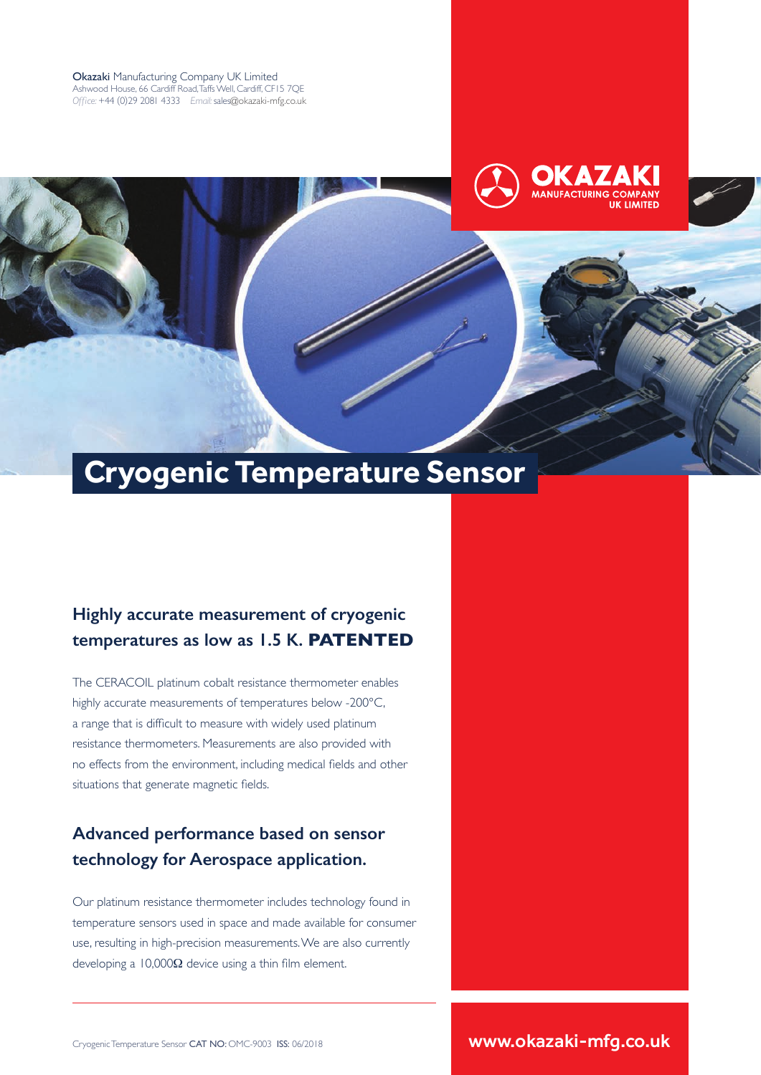Okazaki Manufacturing Company UK Limited Ashwood House, 66 Cardiff Road, Taffs Well, Cardiff, CF15 7QE *Office:* +44 (0)29 2081 4333 *Email:* sales@okazaki-mfg.co.uk







# **Highly accurate measurement of cryogenic temperatures as low as 1.5 K. PATENTED**

The CERACOIL platinum cobalt resistance thermometer enables highly accurate measurements of temperatures below -200°C, a range that is difficult to measure with widely used platinum resistance thermometers. Measurements are also provided with no effects from the environment, including medical fields and other situations that generate magnetic fields.

## **Advanced performance based on sensor technology for Aerospace application.**

Our platinum resistance thermometer includes technology found in temperature sensors used in space and made available for consumer use, resulting in high-precision measurements. We are also currently developing a  $10,000\Omega$  device using a thin film element.

Cryogenic Temperature Sensor CAT NO: OMC-9003 ISS: 06/2018 **www.okazaki-mfg.co.uk**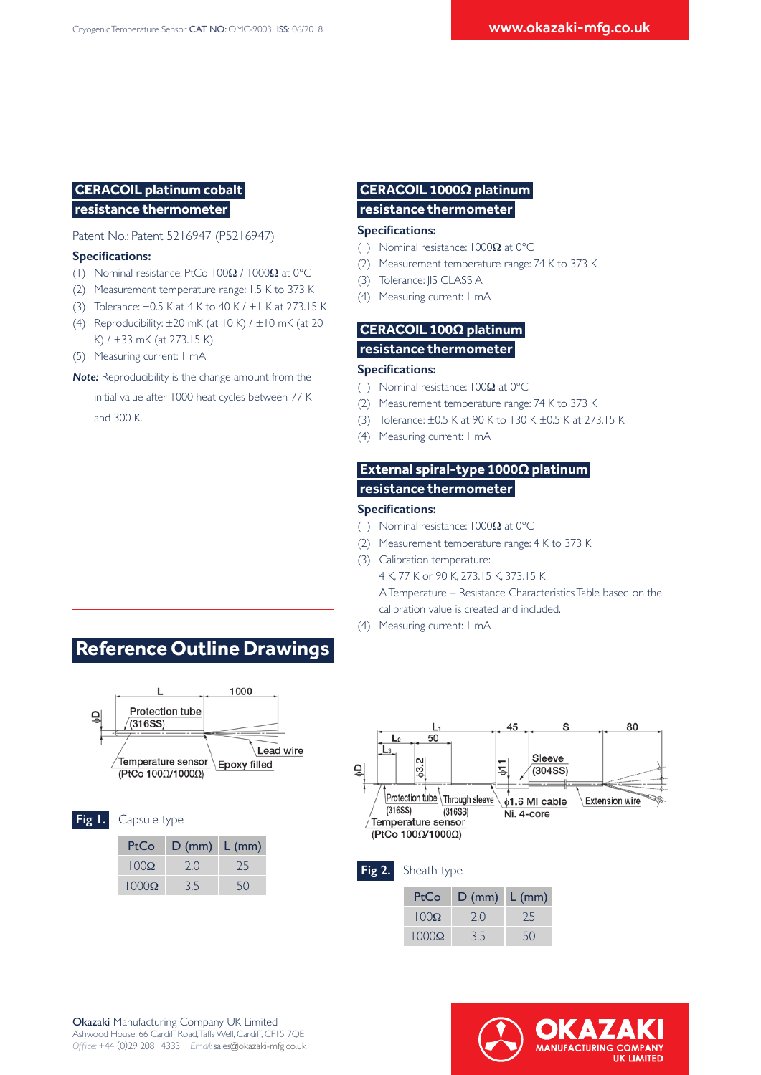## **CERACOIL platinum cobalt resistance thermometer**

#### Patent No.: Patent 5216947 (P5216947)

#### **Specifications:**

- (1) Nominal resistance: PtCo 100Ω / 1000Ω at 0°C
- (2) Measurement temperature range: 1.5 K to 373 K
- (3) Tolerance: ±0.5 K at 4 K to 40 K / ±1 K at 273.15 K
- (4) Reproducibility:  $\pm 20$  mK (at 10 K) /  $\pm 10$  mK (at 20 K) / ±33 mK (at 273.15 K)
- (5) Measuring current: 1 mA
- *Note:* Reproducibility is the change amount from the
- initial value after 1000 heat cycles between 77 K and 300 K.

## **CERACOIL 1000Ω platinum resistance thermometer**

#### **Specifications:**

- (1) Nominal resistance: 1000Ω at 0°C
- (2) Measurement temperature range: 74 K to 373 K
- (3) Tolerance: JIS CLASS A
- (4) Measuring current: 1 mA

## **CERACOIL 100Ω platinum resistance thermometer**

#### **Specifications:**

- (1) Nominal resistance: 100Ω at 0°C
- (2) Measurement temperature range: 74 K to 373 K
- (3) Tolerance: ±0.5 K at 90 K to 130 K ±0.5 K at 273.15 K
- (4) Measuring current: 1 mA

## **External spiral-type 1000Ω platinum resistance thermometer**

#### **Specifications:**

- (1) Nominal resistance: 1000Ω at 0°C
- (2) Measurement temperature range: 4 K to 373 K
- (3) Calibration temperature:
	- 4 K, 77 K or 90 K, 273.15 K, 373.15 K A Temperature – Resistance Characteristics Table based on the
	- calibration value is created and included.
- (4) Measuring current: 1 mA



 **Reference Outline Drawings** 



| 1 I P |  |  |
|-------|--|--|
|       |  |  |

| PtCo         | $D (mm)$ $L (mm)$ |    |
|--------------|-------------------|----|
| $100\Omega$  | 20                | 75 |
| $1000\Omega$ | 35                | 50 |

Capsule type



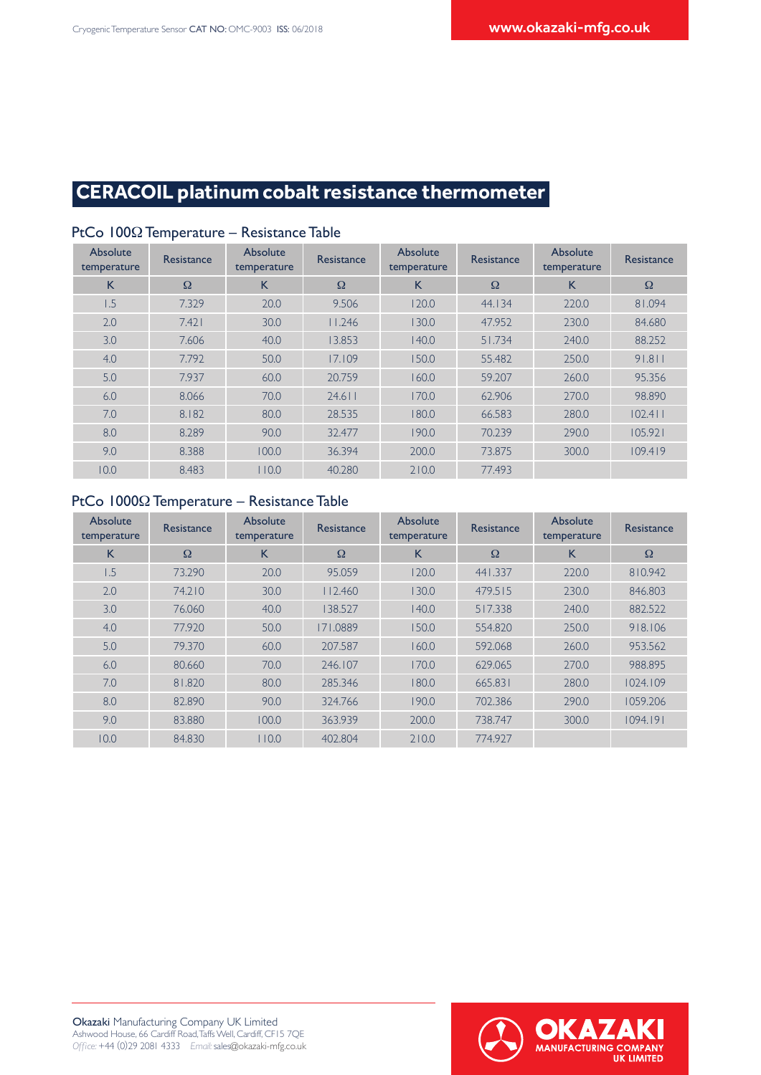# **CERACOIL platinum cobalt resistance thermometer**

| Absolute<br>temperature | <b>Resistance</b> | Absolute<br>temperature | <b>Resistance</b> | Absolute<br>temperature | Resistance | Absolute<br>temperature | <b>Resistance</b> |
|-------------------------|-------------------|-------------------------|-------------------|-------------------------|------------|-------------------------|-------------------|
| K                       | $\Omega$          | K                       | $\Omega$          | K                       | $\Omega$   | K                       | $\Omega$          |
| 1.5                     | 7.329             | 20.0                    | 9.506             | 120.0                   | 44.134     | 220.0                   | 81.094            |
| 2.0                     | 7.421             | 30.0                    | 11.246            | 130.0                   | 47.952     | 230.0                   | 84.680            |
| 3.0                     | 7.606             | 40.0                    | 13.853            | 140.0                   | 51.734     | 240.0                   | 88.252            |
| 4.0                     | 7.792             | 50.0                    | 17.109            | 150.0                   | 55.482     | 250.0                   | 91.811            |
| 5.0                     | 7.937             | 60.0                    | 20.759            | 160.0                   | 59.207     | 260.0                   | 95.356            |
| 6.0                     | 8.066             | 70.0                    | $24.6$            | 170.0                   | 62.906     | 270.0                   | 98.890            |
| 7.0                     | 8.182             | 80.0                    | 28.535            | 180.0                   | 66.583     | 280.0                   | 102.411           |
| 8.0                     | 8.289             | 90.0                    | 32.477            | 190.0                   | 70.239     | 290.0                   | 105.921           |
| 9.0                     | 8.388             | 100.0                   | 36.394            | 200.0                   | 73.875     | 300.0                   | 109.419           |
| 10.0                    | 8.483             | 110.0                   | 40.280            | 210.0                   | 77.493     |                         |                   |

### PtCo 100Ω Temperature – Resistance Table

## PtCo 1000Ω Temperature – Resistance Table

| Absolute<br>temperature | <b>Resistance</b> | Absolute<br>temperature | Resistance | Absolute<br>temperature | <b>Resistance</b> | Absolute<br>temperature | <b>Resistance</b> |
|-------------------------|-------------------|-------------------------|------------|-------------------------|-------------------|-------------------------|-------------------|
| K                       | $\Omega$          | K                       | $\Omega$   | K                       | $\Omega$          | K                       | $\Omega$          |
| 1.5                     | 73.290            | 20.0                    | 95.059     | 120.0                   | 441.337           | 220.0                   | 810.942           |
| 2.0                     | 74.210            | 30.0                    | 112.460    | 130.0                   | 479.515           | 230.0                   | 846.803           |
| 3.0                     | 76.060            | 40.0                    | 138.527    | 140.0                   | 517.338           | 240.0                   | 882.522           |
| 4.0                     | 77.920            | 50.0                    | 171.0889   | 150.0                   | 554.820           | 250.0                   | 918.106           |
| 5.0                     | 79.370            | 60.0                    | 207.587    | 160.0                   | 592.068           | 260.0                   | 953.562           |
| 6.0                     | 80.660            | 70.0                    | 246.107    | 170.0                   | 629.065           | 270.0                   | 988.895           |
| 7.0                     | 81.820            | 80.0                    | 285.346    | 180.0                   | 665.831           | 280.0                   | 1024.109          |
| 8.0                     | 82,890            | 90.0                    | 324.766    | 190.0                   | 702.386           | 290.0                   | 1059.206          |
| 9.0                     | 83,880            | 100.0                   | 363.939    | 200.0                   | 738,747           | 300.0                   | 1094.191          |
| 10.0                    | 84.830            | 10.0                    | 402.804    | 210.0                   | 774.927           |                         |                   |